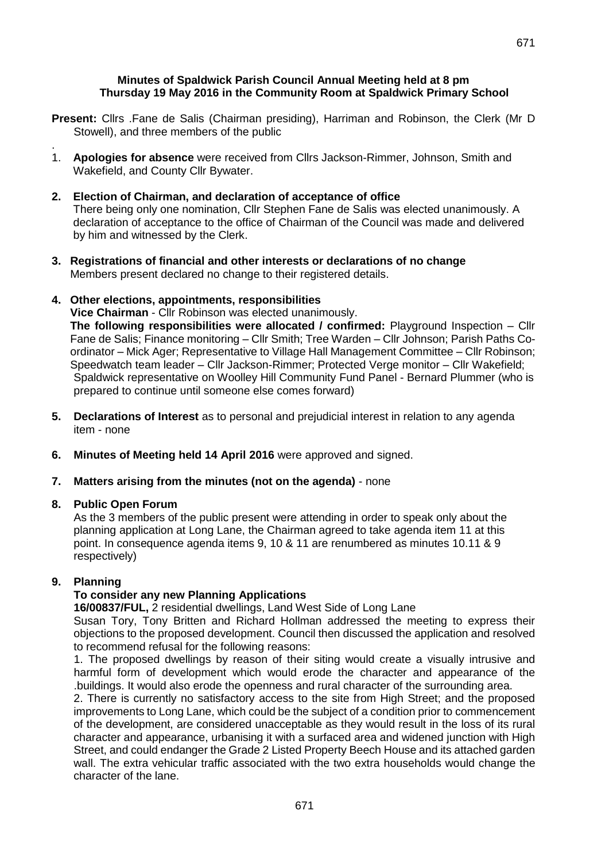#### **Minutes of Spaldwick Parish Council Annual Meeting held at 8 pm Thursday 19 May 2016 in the Community Room at Spaldwick Primary School**

- **Present:** Cllrs .Fane de Salis (Chairman presiding), Harriman and Robinson, the Clerk (Mr D Stowell), and three members of the public
- . 1. **Apologies for absence** were received from Cllrs Jackson-Rimmer, Johnson, Smith and Wakefield, and County Cllr Bywater.

#### **2. Election of Chairman, and declaration of acceptance of office** There being only one nomination, Cllr Stephen Fane de Salis was elected unanimously. A declaration of acceptance to the office of Chairman of the Council was made and delivered by him and witnessed by the Clerk.

**3. Registrations of financial and other interests or declarations of no change** Members present declared no change to their registered details.

### **4. Other elections, appointments, responsibilities**

**Vice Chairman** - Cllr Robinson was elected unanimously. **The following responsibilities were allocated / confirmed:** Playground Inspection – Cllr Fane de Salis; Finance monitoring – Cllr Smith; Tree Warden – Cllr Johnson; Parish Paths Coordinator – Mick Ager; Representative to Village Hall Management Committee – Cllr Robinson; Speedwatch team leader – Cllr Jackson-Rimmer; Protected Verge monitor – Cllr Wakefield; Spaldwick representative on Woolley Hill Community Fund Panel - Bernard Plummer (who is

- **5. Declarations of Interest** as to personal and prejudicial interest in relation to any agenda item - none
- **6. Minutes of Meeting held 14 April 2016** were approved and signed.
- **7. Matters arising from the minutes (not on the agenda)** none

prepared to continue until someone else comes forward)

### **8. Public Open Forum**

As the 3 members of the public present were attending in order to speak only about the planning application at Long Lane, the Chairman agreed to take agenda item 11 at this point. In consequence agenda items 9, 10 & 11 are renumbered as minutes 10.11 & 9 respectively)

### **9. Planning**

# **To consider any new Planning Applications**

**16/00837/FUL,** 2 residential dwellings, Land West Side of Long Lane

Susan Tory, Tony Britten and Richard Hollman addressed the meeting to express their objections to the proposed development. Council then discussed the application and resolved to recommend refusal for the following reasons:

1. The proposed dwellings by reason of their siting would create a visually intrusive and harmful form of development which would erode the character and appearance of the .buildings. It would also erode the openness and rural character of the surrounding area.

2. There is currently no satisfactory access to the site from High Street; and the proposed improvements to Long Lane, which could be the subject of a condition prior to commencement of the development, are considered unacceptable as they would result in the loss of its rural character and appearance, urbanising it with a surfaced area and widened junction with High Street, and could endanger the Grade 2 Listed Property Beech House and its attached garden wall. The extra vehicular traffic associated with the two extra households would change the character of the lane.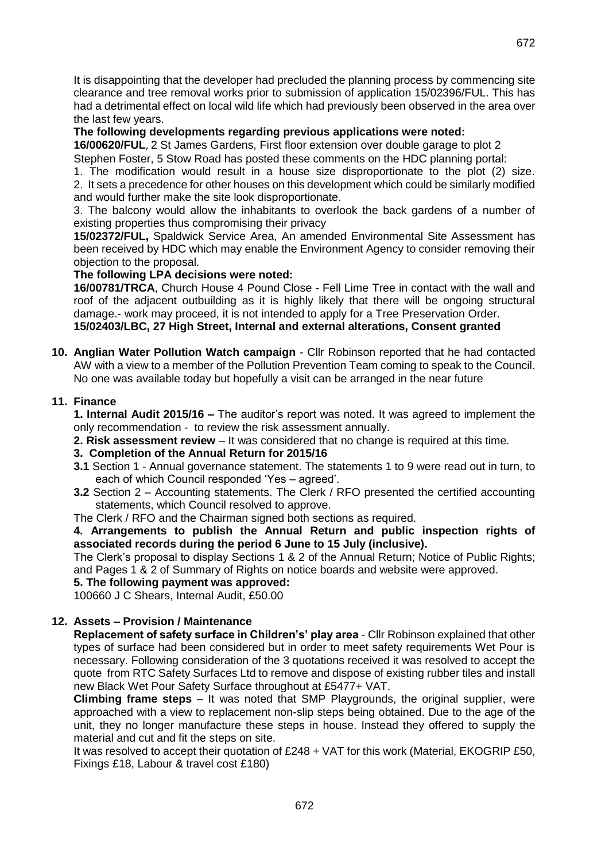It is disappointing that the developer had precluded the planning process by commencing site clearance and tree removal works prior to submission of application 15/02396/FUL. This has had a detrimental effect on local wild life which had previously been observed in the area over the last few years.

### **The following developments regarding previous applications were noted:**

**16/00620/FUL**, 2 St James Gardens, First floor extension over double garage to plot 2 Stephen Foster, 5 Stow Road has posted these comments on the HDC planning portal:

1. The modification would result in a house size disproportionate to the plot (2) size.

2. It sets a precedence for other houses on this development which could be similarly modified and would further make the site look disproportionate.

3. The balcony would allow the inhabitants to overlook the back gardens of a number of existing properties thus compromising their privacy

**15/02372/FUL,** Spaldwick Service Area, An amended Environmental Site Assessment has been received by HDC which may enable the Environment Agency to consider removing their objection to the proposal.

### **The following LPA decisions were noted:**

**16/00781/TRCA**, Church House 4 Pound Close - Fell Lime Tree in contact with the wall and roof of the adjacent outbuilding as it is highly likely that there will be ongoing structural damage.- work may proceed, it is not intended to apply for a Tree Preservation Order. **15/02403/LBC, 27 High Street, Internal and external alterations, Consent granted**

**10. Anglian Water Pollution Watch campaign** - Cllr Robinson reported that he had contacted AW with a view to a member of the Pollution Prevention Team coming to speak to the Council. No one was available today but hopefully a visit can be arranged in the near future

## **11. Finance**

**1. Internal Audit 2015/16 –** The auditor's report was noted. It was agreed to implement the only recommendation - to review the risk assessment annually.

**2. Risk assessment review** – It was considered that no change is required at this time.

- **3. Completion of the Annual Return for 2015/16**
- **3.1** Section 1 Annual governance statement. The statements 1 to 9 were read out in turn, to each of which Council responded 'Yes – agreed'.
- **3.2** Section 2 Accounting statements. The Clerk / RFO presented the certified accounting statements, which Council resolved to approve.

The Clerk / RFO and the Chairman signed both sections as required.

**4. Arrangements to publish the Annual Return and public inspection rights of associated records during the period 6 June to 15 July (inclusive).**

The Clerk's proposal to display Sections 1 & 2 of the Annual Return; Notice of Public Rights; and Pages 1 & 2 of Summary of Rights on notice boards and website were approved.

### **5. The following payment was approved:**

100660 J C Shears, Internal Audit, £50.00

### **12. Assets – Provision / Maintenance**

**Replacement of safety surface in Children's' play area** - Cllr Robinson explained that other types of surface had been considered but in order to meet safety requirements Wet Pour is necessary. Following consideration of the 3 quotations received it was resolved to accept the quote from RTC Safety Surfaces Ltd to remove and dispose of existing rubber tiles and install new Black Wet Pour Safety Surface throughout at £5477+ VAT.

**Climbing frame steps** – It was noted that SMP Playgrounds, the original supplier, were approached with a view to replacement non-slip steps being obtained. Due to the age of the unit, they no longer manufacture these steps in house. Instead they offered to supply the material and cut and fit the steps on site.

It was resolved to accept their quotation of £248 + VAT for this work (Material, EKOGRIP £50, Fixings £18, Labour & travel cost £180)